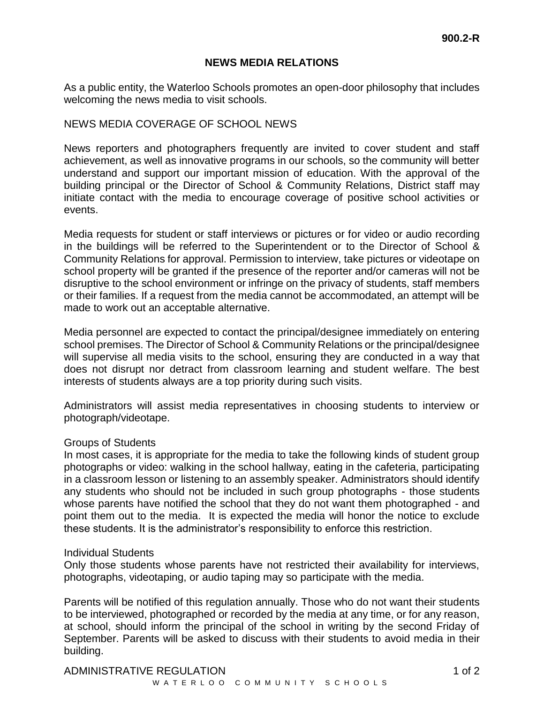### **NEWS MEDIA RELATIONS**

As a public entity, the Waterloo Schools promotes an open-door philosophy that includes welcoming the news media to visit schools.

### NEWS MEDIA COVERAGE OF SCHOOL NEWS

News reporters and photographers frequently are invited to cover student and staff achievement, as well as innovative programs in our schools, so the community will better understand and support our important mission of education. With the approval of the building principal or the Director of School & Community Relations, District staff may initiate contact with the media to encourage coverage of positive school activities or events.

Media requests for student or staff interviews or pictures or for video or audio recording in the buildings will be referred to the Superintendent or to the Director of School & Community Relations for approval. Permission to interview, take pictures or videotape on school property will be granted if the presence of the reporter and/or cameras will not be disruptive to the school environment or infringe on the privacy of students, staff members or their families. If a request from the media cannot be accommodated, an attempt will be made to work out an acceptable alternative.

Media personnel are expected to contact the principal/designee immediately on entering school premises. The Director of School & Community Relations or the principal/designee will supervise all media visits to the school, ensuring they are conducted in a way that does not disrupt nor detract from classroom learning and student welfare. The best interests of students always are a top priority during such visits.

Administrators will assist media representatives in choosing students to interview or photograph/videotape.

### Groups of Students

In most cases, it is appropriate for the media to take the following kinds of student group photographs or video: walking in the school hallway, eating in the cafeteria, participating in a classroom lesson or listening to an assembly speaker. Administrators should identify any students who should not be included in such group photographs - those students whose parents have notified the school that they do not want them photographed - and point them out to the media. It is expected the media will honor the notice to exclude these students. It is the administrator's responsibility to enforce this restriction.

#### Individual Students

Only those students whose parents have not restricted their availability for interviews, photographs, videotaping, or audio taping may so participate with the media.

Parents will be notified of this regulation annually. Those who do not want their students to be interviewed, photographed or recorded by the media at any time, or for any reason, at school, should inform the principal of the school in writing by the second Friday of September. Parents will be asked to discuss with their students to avoid media in their building.

# ADMINISTRATIVE REGULATION 4 and 3 and 3 and 3 and 4 of 2